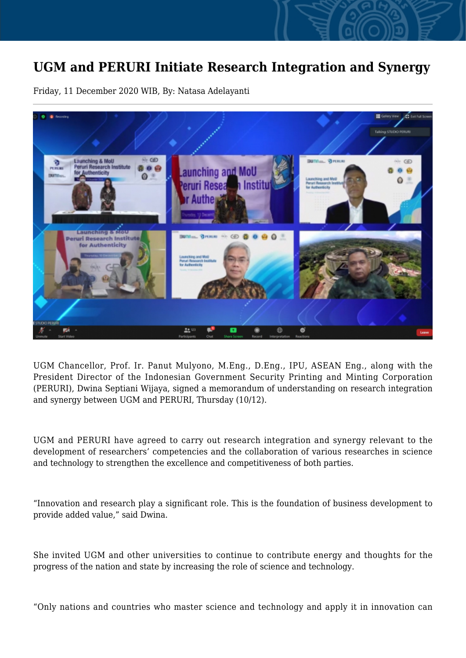## **UGM and PERURI Initiate Research Integration and Synergy**

Friday, 11 December 2020 WIB, By: Natasa Adelayanti



UGM Chancellor, Prof. Ir. Panut Mulyono, M.Eng., D.Eng., IPU, ASEAN Eng., along with the President Director of the Indonesian Government Security Printing and Minting Corporation (PERURI), Dwina Septiani Wijaya, signed a memorandum of understanding on research integration and synergy between UGM and PERURI, Thursday (10/12).

UGM and PERURI have agreed to carry out research integration and synergy relevant to the development of researchers' competencies and the collaboration of various researches in science and technology to strengthen the excellence and competitiveness of both parties.

"Innovation and research play a significant role. This is the foundation of business development to provide added value," said Dwina.

She invited UGM and other universities to continue to contribute energy and thoughts for the progress of the nation and state by increasing the role of science and technology.

"Only nations and countries who master science and technology and apply it in innovation can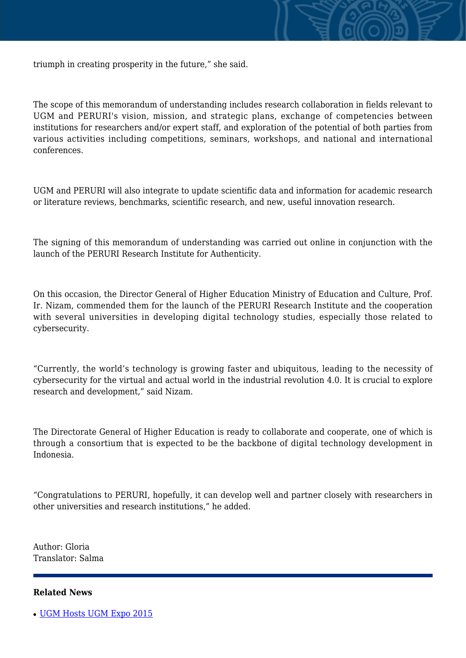

triumph in creating prosperity in the future," she said.

The scope of this memorandum of understanding includes research collaboration in fields relevant to UGM and PERURI's vision, mission, and strategic plans, exchange of competencies between institutions for researchers and/or expert staff, and exploration of the potential of both parties from various activities including competitions, seminars, workshops, and national and international conferences.

UGM and PERURI will also integrate to update scientific data and information for academic research or literature reviews, benchmarks, scientific research, and new, useful innovation research.

The signing of this memorandum of understanding was carried out online in conjunction with the launch of the PERURI Research Institute for Authenticity.

On this occasion, the Director General of Higher Education Ministry of Education and Culture, Prof. Ir. Nizam, commended them for the launch of the PERURI Research Institute and the cooperation with several universities in developing digital technology studies, especially those related to cybersecurity.

"Currently, the world's technology is growing faster and ubiquitous, leading to the necessity of cybersecurity for the virtual and actual world in the industrial revolution 4.0. It is crucial to explore research and development," said Nizam.

The Directorate General of Higher Education is ready to collaborate and cooperate, one of which is through a consortium that is expected to be the backbone of digital technology development in Indonesia.

"Congratulations to PERURI, hopefully, it can develop well and partner closely with researchers in other universities and research institutions," he added.

Author: Gloria Translator: Salma

## **Related News**

• [UGM Hosts UGM Expo 2015](http://ugm.ac.id/www.ugm.ac.id//en/news/10635-leiden-university-netherlands-initiate-cooperation-with-faculty-of-biology-ugm)